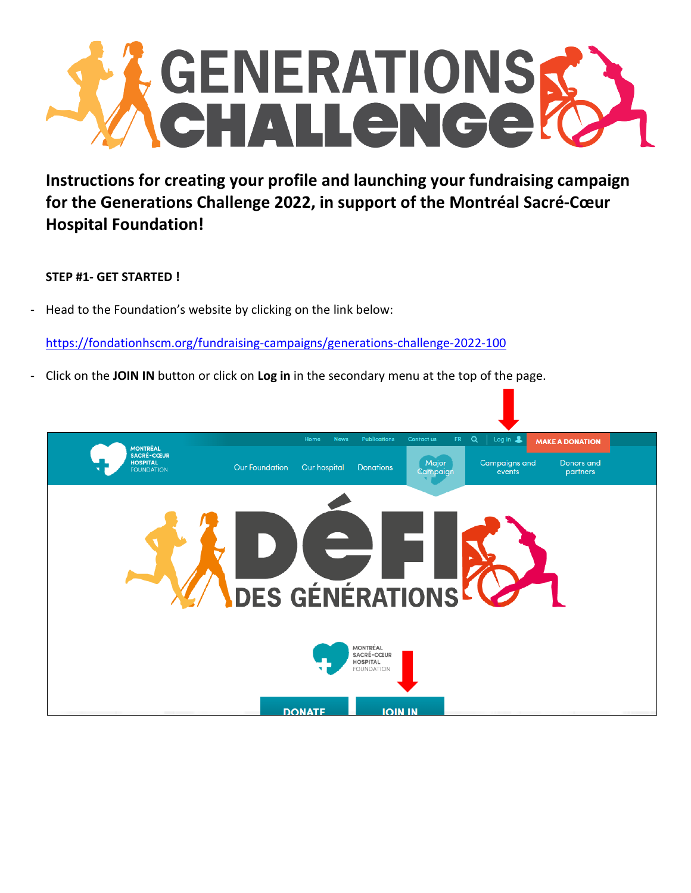

**Instructions for creating your profile and launching your fundraising campaign for the Generations Challenge 2022, in support of the Montréal Sacré-Cœur Hospital Foundation!** 

# **STEP #1- GET STARTED !**

- Head to the Foundation's website by clicking on the link below:

<https://fondationhscm.org/fundraising-campaigns/generations-challenge-2022-100>

- Click on the **JOIN IN** button or click on **Log in** in the secondary menu at the top of the page.

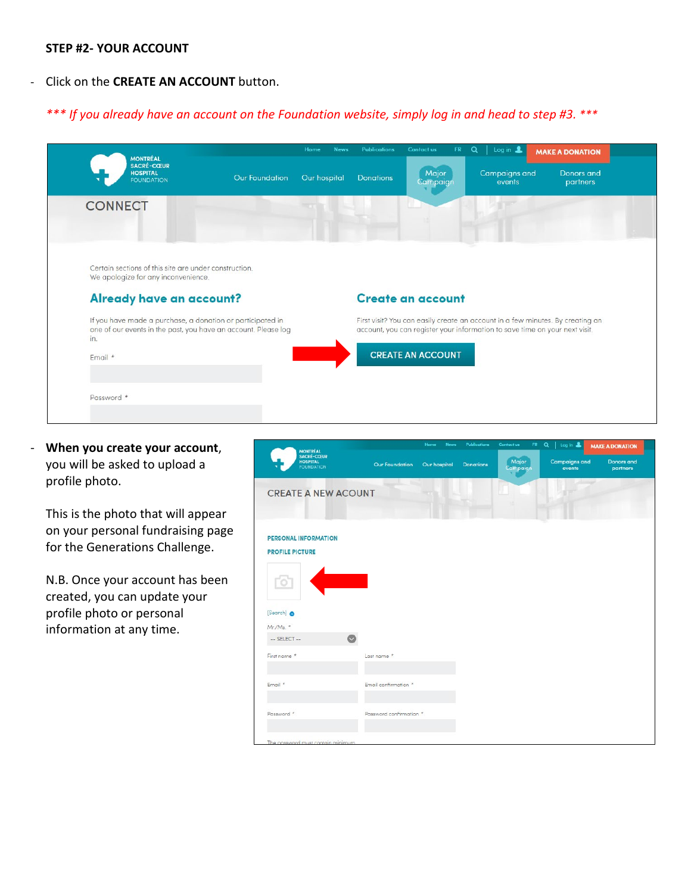### **STEP #2- YOUR ACCOUNT**

## - Click on the **CREATE AN ACCOUNT** button.

# *\*\*\* If you already have an account on the Foundation website, simply log in and head to step #3. \*\*\**

| <b>MONTRÉAL</b><br><b>SACRÉ-CŒUR</b><br><b>HOSPITAL</b>                                                                             |                       | Home<br><b>News</b> | Publications     | Contact us<br>FR.<br>Major | Q<br>Log in $\triangle$<br><b>Campaigns and</b>                             | <b>MAKE A DONATION</b><br><b>Donors</b> and                                    |
|-------------------------------------------------------------------------------------------------------------------------------------|-----------------------|---------------------|------------------|----------------------------|-----------------------------------------------------------------------------|--------------------------------------------------------------------------------|
| <b>FOUNDATION</b>                                                                                                                   | <b>Our Foundation</b> | Our hospital        | <b>Donations</b> | Campaign                   | events                                                                      | partners                                                                       |
| <b>CONNECT</b>                                                                                                                      |                       |                     |                  |                            |                                                                             |                                                                                |
|                                                                                                                                     |                       |                     |                  |                            |                                                                             |                                                                                |
| Certain sections of this site are under construction.<br>We apologize for any inconvenience.                                        |                       |                     |                  |                            |                                                                             |                                                                                |
|                                                                                                                                     |                       |                     |                  | <b>Create an account</b>   |                                                                             |                                                                                |
| Already have an account?                                                                                                            |                       |                     |                  |                            |                                                                             |                                                                                |
| If you have made a purchase, a donation or participated in<br>one of our events in the past, you have an account. Please log<br>in. |                       |                     |                  |                            | account, you can register your information to save time on your next visit. | First visit? You can easily create an account in a few minutes. By creating an |
| Email *                                                                                                                             |                       |                     |                  | <b>CREATE AN ACCOUNT</b>   |                                                                             |                                                                                |
|                                                                                                                                     |                       |                     |                  |                            |                                                                             |                                                                                |

- **When you create your account**, you will be asked to upload a profile photo.

This is the photo that will appear on your personal fundraising page for the Generations Challenge.

N.B. Once your account has been created, you can update your profile photo or personal information at any time.

| <b>MONTRÉAL</b>                                    |                         | Home<br><b>News</b> | <b>Publications</b> | Contact us<br>FR. | $\alpha$<br>Log in &           | <b>MAKE A DONATION</b>        |
|----------------------------------------------------|-------------------------|---------------------|---------------------|-------------------|--------------------------------|-------------------------------|
| <b>SACRÉ-CŒUR</b><br>HOSPITAL<br><b>FOUNDATION</b> | <b>Our Foundation</b>   | Our hospital        | Donations           | Major<br>Campaign | <b>Campaigns and</b><br>events | <b>Donors</b> and<br>partners |
| <b>CREATE A NEW ACOUNT</b>                         |                         |                     |                     |                   |                                |                               |
| <b>PERSONAL INFORMATION</b>                        |                         |                     |                     |                   |                                |                               |
| <b>PROFILE PICTURE</b>                             |                         |                     |                     |                   |                                |                               |
| [Search] @                                         |                         |                     |                     |                   |                                |                               |
| Mr./Ma. *                                          |                         |                     |                     |                   |                                |                               |
| -- SELECT --<br>First name *                       | Last name *             |                     |                     |                   |                                |                               |
| Email *                                            | Email confirmation *    |                     |                     |                   |                                |                               |
| Password *                                         | Password confirmation.* |                     |                     |                   |                                |                               |
| The password must contain minimum                  |                         |                     |                     |                   |                                |                               |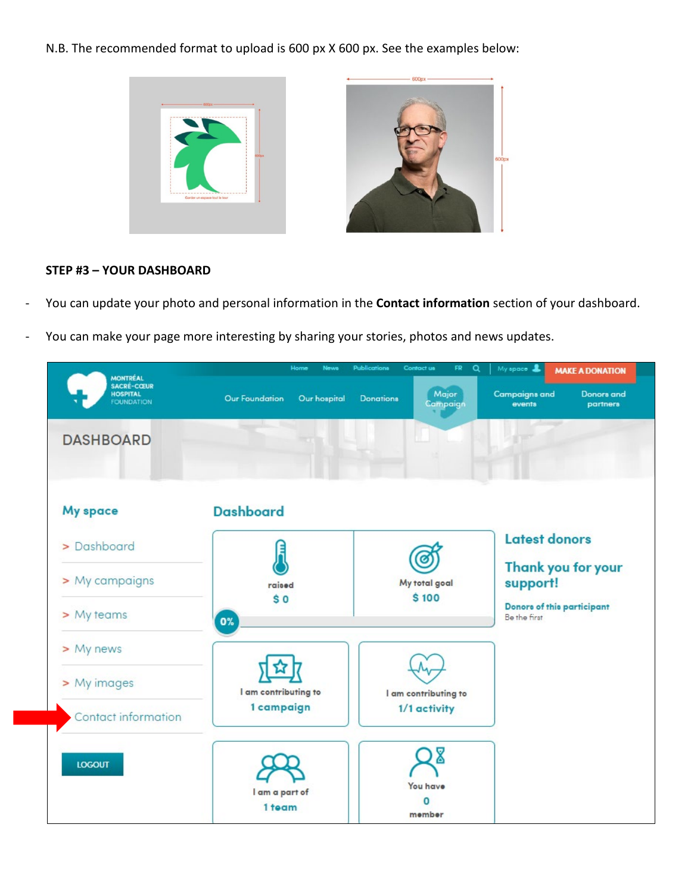N.B. The recommended format to upload is 600 px X 600 px. See the examples below:



# **STEP #3 – YOUR DASHBOARD**

- You can update your photo and personal information in the **Contact information** section of your dashboard.
- You can make your page more interesting by sharing your stories, photos and news updates.

| <b>MONTRÉAL</b><br><b>SACRÉ-CŒUR</b> | Home<br>News                          | <b>Publications</b><br>Contact us<br>FR.<br>Q<br>My space &<br><b>MAKE A DONATION</b> |                                                                 |  |  |
|--------------------------------------|---------------------------------------|---------------------------------------------------------------------------------------|-----------------------------------------------------------------|--|--|
| <b>HOSPITAL</b><br><b>FOUNDATION</b> | <b>Our Foundation</b><br>Our hospital | Major<br><b>Donations</b><br>Campaign                                                 | <b>Campaigns and</b><br><b>Donors</b> and<br>events<br>partners |  |  |
| <b>DASHBOARD</b>                     |                                       |                                                                                       |                                                                 |  |  |
| <b>My space</b>                      | <b>Dashboard</b>                      |                                                                                       |                                                                 |  |  |
| > Dashboard                          |                                       |                                                                                       | <b>Latest donors</b>                                            |  |  |
| > My campaigns                       | raised                                | My total goal                                                                         | Thank you for your<br>support!                                  |  |  |
| > My teams                           | \$0<br>0%                             | \$100                                                                                 | Donore of this participant<br>Be the first                      |  |  |
| > My news                            |                                       |                                                                                       |                                                                 |  |  |
| > My images                          | I am contributing to                  | I am contributing to                                                                  |                                                                 |  |  |
| Contact information                  | 1 campaign                            | 1/1 activity                                                                          |                                                                 |  |  |
| <b>LOGOUT</b>                        | I am a part of                        | 8<br>You have                                                                         |                                                                 |  |  |
|                                      | 1 team                                | member                                                                                |                                                                 |  |  |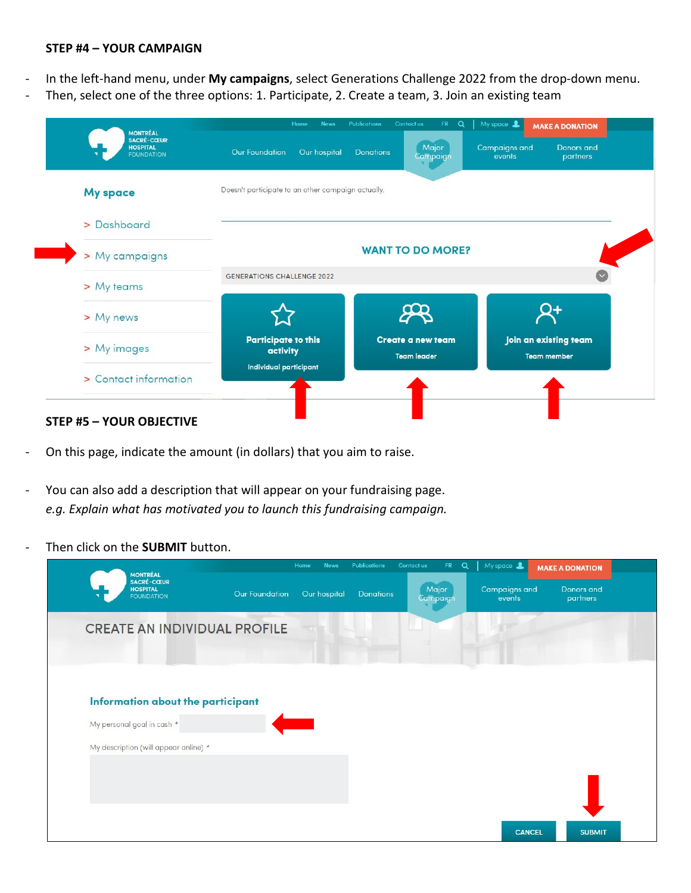### **STEP #4 – YOUR CAMPAIGN**

- In the left-hand menu, under **My campaigns**, select Generations Challenge 2022 from the drop-down menu.
- Then, select one of the three options: 1. Participate, 2. Create a team, 3. Join an existing team

| <b>HOSPITAL</b><br><b>FOUNDATION</b> | <b>Our Foundation</b><br>Our hospital              | Major<br><b>Donations</b><br>Campaign          | <b>Campaigns and</b><br><b>Donors</b> and<br>events<br>partners |
|--------------------------------------|----------------------------------------------------|------------------------------------------------|-----------------------------------------------------------------|
| <b>My space</b>                      | Doesn't participate to an other campaign actually. |                                                |                                                                 |
| > Dashboard                          |                                                    |                                                |                                                                 |
| > My campaigns                       |                                                    | <b>WANT TO DO MORE?</b>                        |                                                                 |
| > My teams                           | <b>GENERATIONS CHALLENGE 2022</b>                  |                                                |                                                                 |
| > My news                            |                                                    |                                                |                                                                 |
| > My images                          | <b>Participate to this</b><br>activity             | <b>Create a new team</b><br><b>Team leader</b> | Join an existing team<br><b>Team member</b>                     |
| > Contact information                | Individual participant                             |                                                |                                                                 |

- On this page, indicate the amount (in dollars) that you aim to raise.
- You can also add a description that will appear on your fundraising page. *e.g. Explain what has motivated you to launch this fundraising campaign.*
- Then click on the **SUBMIT** button.

| <b>MONTRÉAL</b>                                           |                | Home<br><b>News</b> | <b>Publications</b> | FR.<br>$\alpha$<br>Contact us | $My$ space $\triangle$         | <b>MAKE A DONATION</b> |
|-----------------------------------------------------------|----------------|---------------------|---------------------|-------------------------------|--------------------------------|------------------------|
| <b>SACRÉ-CŒUR</b><br><b>HOSPITAL</b><br><b>FOUNDATION</b> | Our Foundation | Our hospital        | <b>Donations</b>    | Major<br>Campaign             | <b>Campaigns and</b><br>events | Donors and<br>partners |
| <b>CREATE AN INDIVIDUAL PROFILE</b>                       |                |                     |                     |                               |                                |                        |
|                                                           |                |                     |                     |                               |                                |                        |
|                                                           |                |                     |                     |                               |                                |                        |
| Information about the participant                         |                |                     |                     |                               |                                |                        |
| My personal goal in cash *                                |                |                     |                     |                               |                                |                        |
| My description (will appear online) *                     |                |                     |                     |                               |                                |                        |
|                                                           |                |                     |                     |                               |                                |                        |
|                                                           |                |                     |                     |                               |                                |                        |
|                                                           |                |                     |                     |                               |                                |                        |
|                                                           |                |                     |                     |                               | <b>CANCEL</b>                  | <b>SUBMIT</b>          |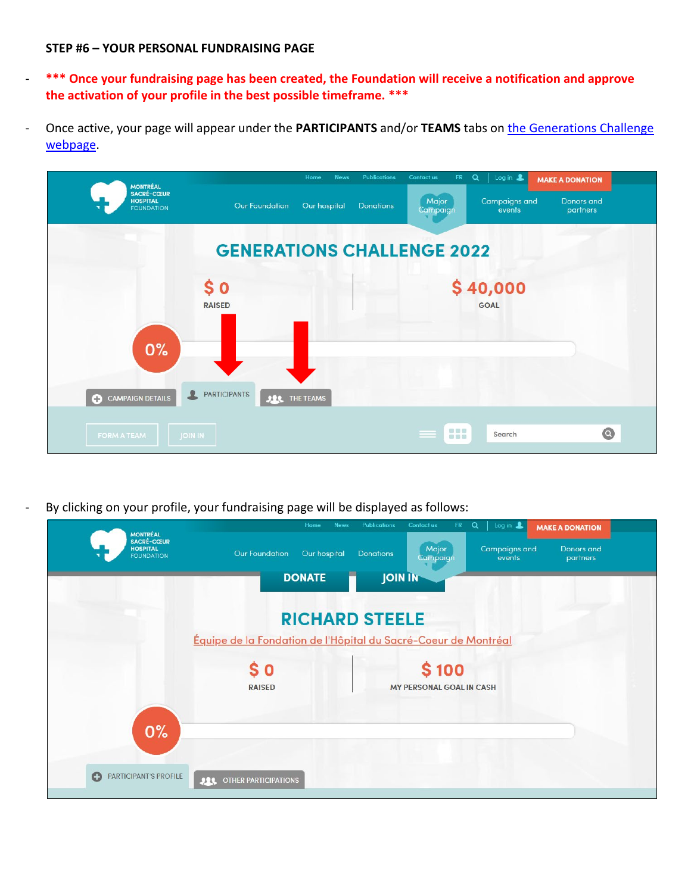### **STEP #6 – YOUR PERSONAL FUNDRAISING PAGE**

- **\*\*\* Once your fundraising page has been created, the Foundation will receive a notification and approve the activation of your profile in the best possible timeframe. \*\*\***
- Once active, your page will appear under the **PARTICIPANTS** and/or **TEAMS** tabs on [the Generations Challenge](https://fondationhscm.org/fundraising-campaigns/generations-challenge-2022-100)  [webpage.](https://fondationhscm.org/fundraising-campaigns/generations-challenge-2022-100)



By clicking on your profile, your fundraising page will be displayed as follows: